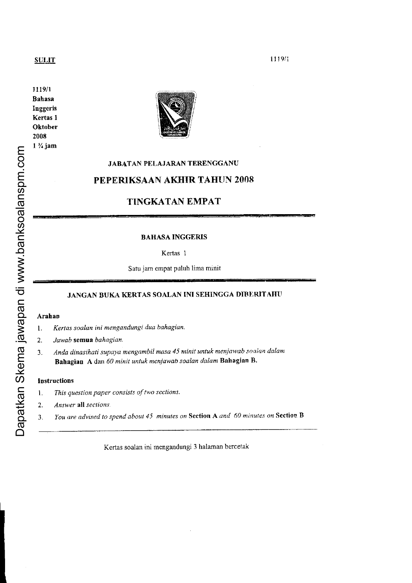## **SULIT**

I I l9/1 Bahasa Inggeris Kertas I **Oktober** 2008 l% jam



# JABATAN PELAJARAN TERENGGANU

# PEPERIKSAAN AKHIR TAHUN 2008

# TINGKATAN EMPAT

#### BAHASA INGGERIS

Kertas 1

Satu jam empat puluh lima minit

# JANGAN BUKA KERTAS SOALAN INI SEHINGGA DIBERITAHU

#### Arahan

1. Kertas soalan ini mengandungi dua bahagian.

2. Jawab semua bahagian.

3. Anda dinasihati supaya mengambil masa 45 minit untuk menjawab soalan dalam Bahagian A, dan 60 minit untuk menjawab soalan dalam Bahagian B.

#### Instructions

- 1. This question paper consists of two sections.
- 2. Answer all sections.
- 3. You are advised to spend about 45 minutes on Section A and 60 minutes on Section B

Kertas soalan ini mengandungi 3halaman bercetak

1 1 1 9 / 1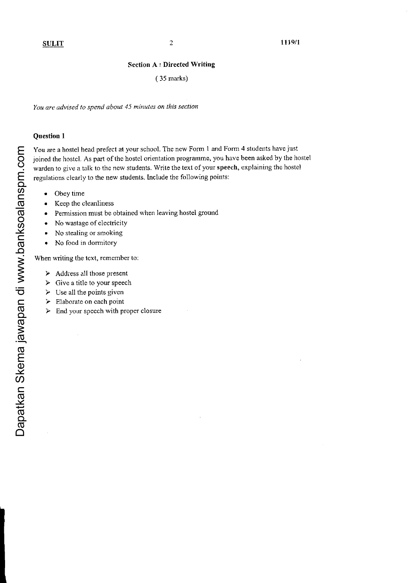#### Section A : Directed Writing

#### ( 35 marks)

You are advised to spend about 45 minutes on this section

#### Question I

You are a hostel head prefect at your school. The new Form 1 and Form 4 students have just joined the hostel. As part of the hostel orientation programme, you have been asked by the hostel warden to give a talk to the new students. Write the text of your speech, explaining the hostel regulations clearly to the new students. lnclude the following points:

- . Obey time
- Keep the cleanliness
- . Permission must be obtained when leaving hostel ground
- No wastage of electricity
- No stealing or smoking
- . No food in dormitory

When writing the text, remember to:

- $\triangleright$  Address all those present
- $\triangleright$  Give a title to your speech
- $\triangleright$  Use all the points given
- $\triangleright$  Elaborate on each point
- $\triangleright$  End your speech with proper closure